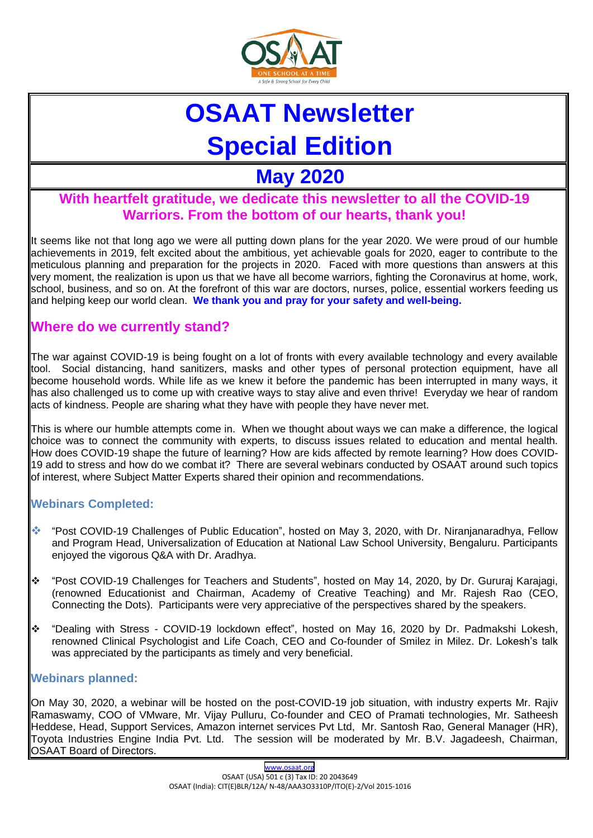

# **OSAAT Newsletter Special Edition**

## **May 2020**

### **With heartfelt gratitude, we dedicate this newsletter to all the COVID-19 Warriors. From the bottom of our hearts, thank you!**

It seems like not that long ago we were all putting down plans for the year 2020. We were proud of our humble achievements in 2019, felt excited about the ambitious, yet achievable goals for 2020, eager to contribute to the meticulous planning and preparation for the projects in 2020. Faced with more questions than answers at this very moment, the realization is upon us that we have all become warriors, fighting the Coronavirus at home, work, school, business, and so on. At the forefront of this war are doctors, nurses, police, essential workers feeding us and helping keep our world clean. **We thank you and pray for your safety and well-being.** 

### **Where do we currently stand?**

The war against COVID-19 is being fought on a lot of fronts with every available technology and every available tool. Social distancing, hand sanitizers, masks and other types of personal protection equipment, have all become household words. While life as we knew it before the pandemic has been interrupted in many ways, it has also challenged us to come up with creative ways to stay alive and even thrive! Everyday we hear of random acts of kindness. People are sharing what they have with people they have never met.

This is where our humble attempts come in. When we thought about ways we can make a difference, the logical choice was to connect the community with experts, to discuss issues related to education and mental health. How does COVID-19 shape the future of learning? How are kids affected by remote learning? How does COVID-19 add to stress and how do we combat it? There are several webinars conducted by OSAAT around such topics of interest, where Subject Matter Experts shared their opinion and recommendations.

### **Webinars Completed:**

- ❖ "Post COVID-19 Challenges of Public Education", hosted on May 3, 2020, with Dr. Niranjanaradhya, Fellow and Program Head, Universalization of Education at National Law School University, Bengaluru. Participants enjoyed the vigorous Q&A with Dr. Aradhya.
- ❖ "Post COVID-19 Challenges for Teachers and Students", hosted on May 14, 2020, by Dr. Gururaj Karajagi, (renowned Educationist and Chairman, Academy of Creative Teaching) and Mr. Rajesh Rao (CEO, Connecting the Dots). Participants were very appreciative of the perspectives shared by the speakers.
- ❖ "Dealing with Stress COVID-19 lockdown effect", hosted on May 16, 2020 by Dr. Padmakshi Lokesh, renowned Clinical Psychologist and Life Coach, CEO and Co-founder of Smilez in Milez. Dr. Lokesh's talk was appreciated by the participants as timely and very beneficial.

#### **Webinars planned:**

On May 30, 2020, a webinar will be hosted on the post-COVID-19 job situation, with industry experts Mr. Rajiv Ramaswamy, COO of VMware, Mr. Vijay Pulluru, Co-founder and CEO of Pramati technologies, Mr. Satheesh Heddese, Head, Support Services, Amazon internet services Pvt Ltd, Mr. Santosh Rao, General Manager (HR), Toyota Industries Engine India Pvt. Ltd. The session will be moderated by Mr. B.V. Jagadeesh, Chairman, OSAAT Board of Directors.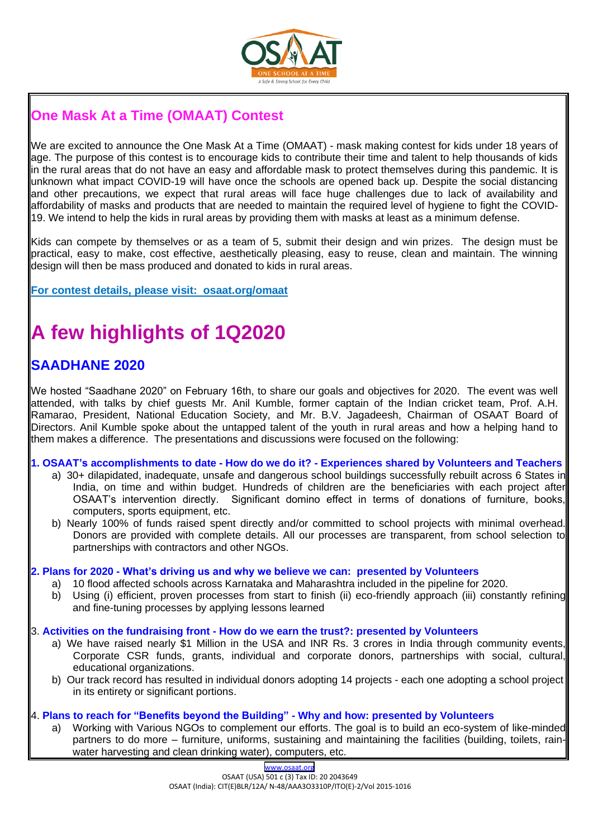

## **One Mask At a Time (OMAAT) Contest**

We are excited to announce the One Mask At a Time (OMAAT) - mask making contest for kids under 18 years of age. The purpose of this contest is to encourage kids to contribute their time and talent to help thousands of kids in the rural areas that do not have an easy and affordable mask to protect themselves during this pandemic. It is unknown what impact COVID-19 will have once the schools are opened back up. Despite the social distancing and other precautions, we expect that rural areas will face huge challenges due to lack of availability and affordability of masks and products that are needed to maintain the required level of hygiene to fight the COVID-19. We intend to help the kids in rural areas by providing them with masks at least as a minimum defense.

Kids can compete by themselves or as a team of 5, submit their design and win prizes. The design must be practical, easy to make, cost effective, aesthetically pleasing, easy to reuse, clean and maintain. The winning design will then be mass produced and donated to kids in rural areas.

**For contest details, please visit: osaat.org/omaat**

## **A few highlights of 1Q2020**

## **SAADHANE 2020**

We hosted "Saadhane 2020" on February 16th, to share our goals and objectives for 2020. The event was well attended, with talks by chief guests Mr. Anil Kumble, former captain of the Indian cricket team, Prof. A.H. Ramarao, President, National Education Society, and Mr. B.V. Jagadeesh, Chairman of OSAAT Board of Directors. Anil Kumble spoke about the untapped talent of the youth in rural areas and how a helping hand to them makes a difference. The presentations and discussions were focused on the following:

#### **1. OSAAT's accomplishments to date - How do we do it? - Experiences shared by Volunteers and Teachers**

- a) 30+ dilapidated, inadequate, unsafe and dangerous school buildings successfully rebuilt across 6 States in India, on time and within budget. Hundreds of children are the beneficiaries with each project after OSAAT's intervention directly. Significant domino effect in terms of donations of furniture, books, computers, sports equipment, etc.
- b) Nearly 100% of funds raised spent directly and/or committed to school projects with minimal overhead. Donors are provided with complete details. All our processes are transparent, from school selection to partnerships with contractors and other NGOs.

#### **2. Plans for 2020 - What's driving us and why we believe we can: presented by Volunteers**

- a) 10 flood affected schools across Karnataka and Maharashtra included in the pipeline for 2020.
- b) Using (i) efficient, proven processes from start to finish (ii) eco-friendly approach (iii) constantly refining and fine-tuning processes by applying lessons learned

#### 3. **Activities on the fundraising front - How do we earn the trust?: presented by Volunteers**

- a) We have raised nearly \$1 Million in the USA and INR Rs. 3 crores in India through community events, Corporate CSR funds, grants, individual and corporate donors, partnerships with social, cultural, educational organizations.
- b) Our track record has resulted in individual donors adopting 14 projects each one adopting a school project in its entirety or significant portions.

#### 4. **Plans to reach for "Benefits beyond the Building" - Why and how: presented by Volunteers**

a) Working with Various NGOs to complement our efforts. The goal is to build an eco-system of like-minded partners to do more – furniture, uniforms, sustaining and maintaining the facilities (building, toilets, rainwater harvesting and clean drinking water), computers, etc.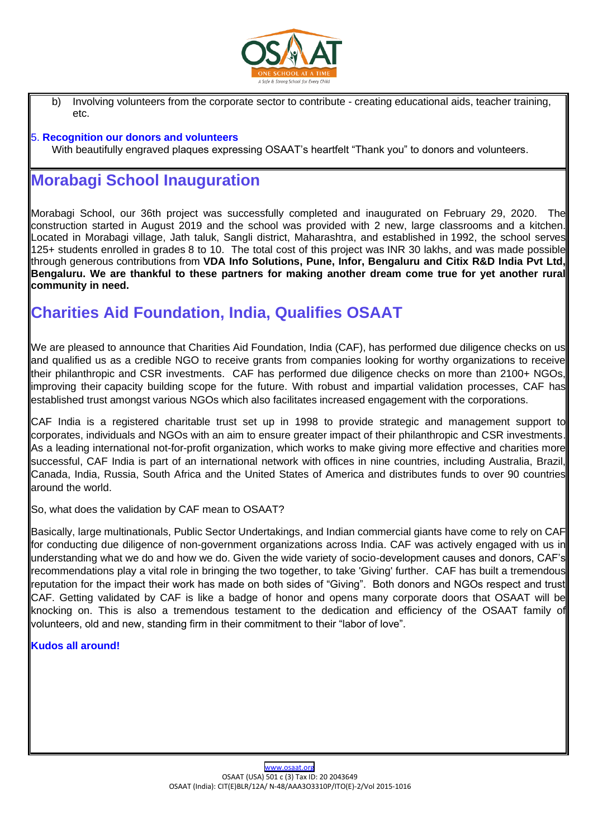

b) Involving volunteers from the corporate sector to contribute - creating educational aids, teacher training, etc.

#### 5. **Recognition our donors and volunteers**

With beautifully engraved plaques expressing OSAAT's heartfelt "Thank you" to donors and volunteers.

## **Morabagi School Inauguration**

Morabagi School, our 36th project was successfully completed and inaugurated on February 29, 2020. The construction started in August 2019 and the school was provided with 2 new, large classrooms and a kitchen. Located in Morabagi village, Jath taluk, Sangli district, Maharashtra, and established in 1992, the school serves 125+ students enrolled in grades 8 to 10. The total cost of this project was INR 30 lakhs, and was made possible through generous contributions from **VDA Info Solutions, Pune, Infor, Bengaluru and Citix R&D India Pvt Ltd, Bengaluru. We are thankful to these partners for making another dream come true for yet another rural community in need.** 

## **Charities Aid Foundation, India, Qualifies OSAAT**

We are pleased to announce that Charities Aid Foundation, India (CAF), has performed due diligence checks on us and qualified us as a credible NGO to receive grants from companies looking for worthy organizations to receive their philanthropic and CSR investments. CAF has performed due diligence checks on more than 2100+ NGOs, improving their capacity building scope for the future. With robust and impartial validation processes, CAF has established trust amongst various NGOs which also facilitates increased engagement with the corporations.

CAF India is a registered charitable trust set up in 1998 to provide strategic and management support to corporates, individuals and NGOs with an aim to ensure greater impact of their philanthropic and CSR investments. As a leading international not-for-profit organization, which works to make giving more effective and charities more successful, CAF India is part of an international network with offices in nine countries, including Australia, Brazil, Canada, India, Russia, South Africa and the United States of America and distributes funds to over 90 countries around the world.

So, what does the validation by CAF mean to OSAAT?

Basically, large multinationals, Public Sector Undertakings, and Indian commercial giants have come to rely on CAF for conducting due diligence of non-government organizations across India. CAF was actively engaged with us in understanding what we do and how we do. Given the wide variety of socio-development causes and donors, CAF's recommendations play a vital role in bringing the two together, to take 'Giving' further. CAF has built a tremendous reputation for the impact their work has made on both sides of "Giving". Both donors and NGOs respect and trust CAF. Getting validated by CAF is like a badge of honor and opens many corporate doors that OSAAT will be knocking on. This is also a tremendous testament to the dedication and efficiency of the OSAAT family of volunteers, old and new, standing firm in their commitment to their "labor of love".

#### **Kudos all around!**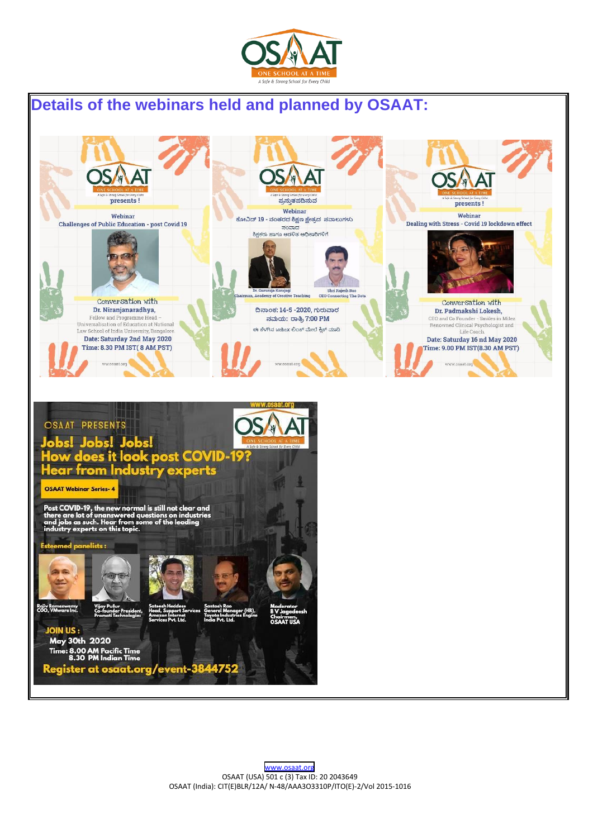

## **Details of the webinars held and planned by OSAAT:**



Register at osaat.org/event-3844752